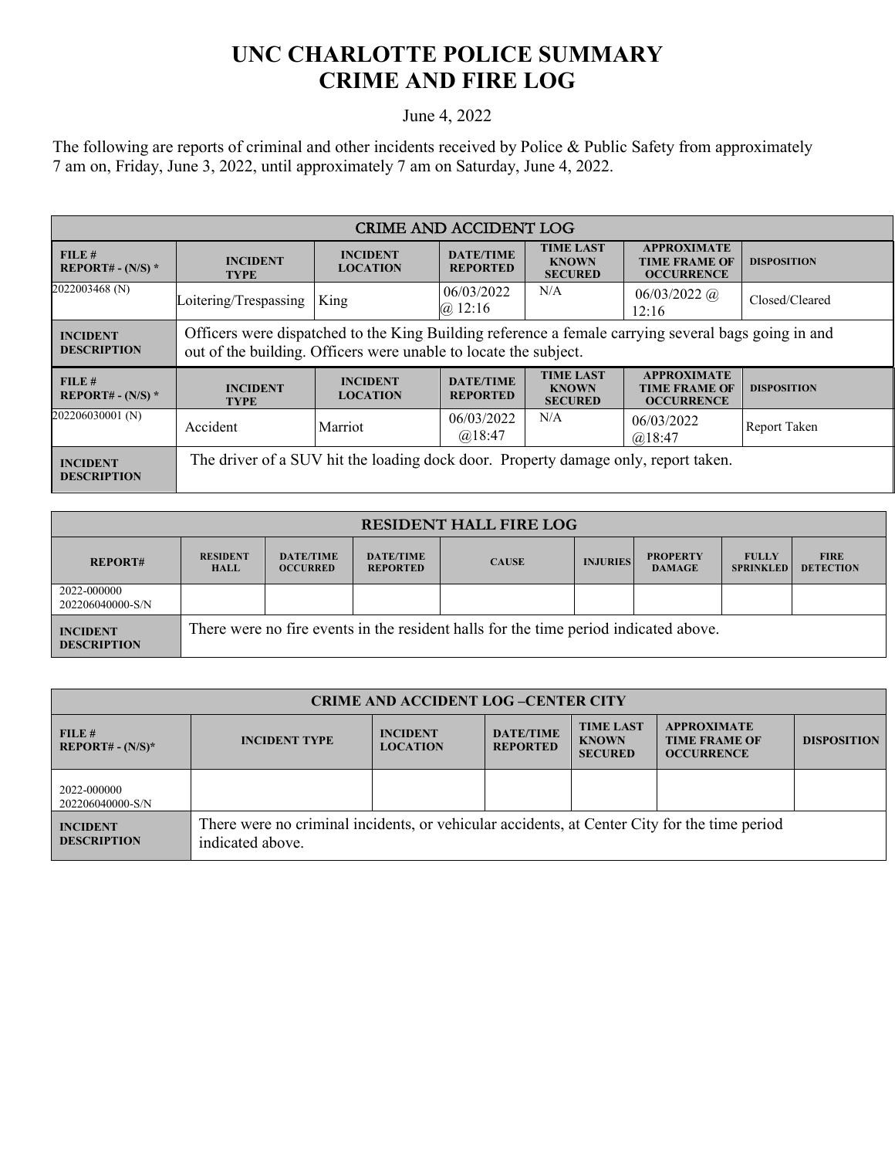## **UNC CHARLOTTE POLICE SUMMARY CRIME AND FIRE LOG**

## June 4, 2022

The following are reports of criminal and other incidents received by Police & Public Safety from approximately 7 am on, Friday, June 3, 2022, until approximately 7 am on Saturday, June 4, 2022.

| <b>CRIME AND ACCIDENT LOG</b>         |                                                                                                                                                                         |                                    |                                     |                                                    |                                                                 |                    |  |
|---------------------------------------|-------------------------------------------------------------------------------------------------------------------------------------------------------------------------|------------------------------------|-------------------------------------|----------------------------------------------------|-----------------------------------------------------------------|--------------------|--|
| FILE#<br>REPORT# - $(N/S)$ *          | <b>INCIDENT</b><br><b>TYPE</b>                                                                                                                                          | <b>INCIDENT</b><br><b>LOCATION</b> | <b>DATE/TIME</b><br><b>REPORTED</b> | <b>TIME LAST</b><br><b>KNOWN</b><br><b>SECURED</b> | <b>APPROXIMATE</b><br><b>TIME FRAME OF</b><br><b>OCCURRENCE</b> | <b>DISPOSITION</b> |  |
| 2022003468 (N)                        | Loitering/Trespassing   King                                                                                                                                            |                                    | 06/03/2022<br>@12:16                | N/A                                                | $06/03/2022$ ( <i>a</i> )<br>12:16                              | Closed/Cleared     |  |
| <b>INCIDENT</b><br><b>DESCRIPTION</b> | Officers were dispatched to the King Building reference a female carrying several bags going in and<br>out of the building. Officers were unable to locate the subject. |                                    |                                     |                                                    |                                                                 |                    |  |
| FILE#<br>REPORT# - $(N/S)$ *          | <b>INCIDENT</b><br><b>TYPE</b>                                                                                                                                          | <b>INCIDENT</b><br><b>LOCATION</b> | <b>DATE/TIME</b><br><b>REPORTED</b> | <b>TIME LAST</b><br><b>KNOWN</b><br><b>SECURED</b> | <b>APPROXIMATE</b><br><b>TIME FRAME OF</b><br><b>OCCURRENCE</b> | <b>DISPOSITION</b> |  |
| 202206030001 (N)                      | Accident                                                                                                                                                                | Marriot                            | 06/03/2022<br>@18:47                | N/A                                                | 06/03/2022<br>@18:47                                            | Report Taken       |  |
| <b>INCIDENT</b><br><b>DESCRIPTION</b> | The driver of a SUV hit the loading dock door. Property damage only, report taken.                                                                                      |                                    |                                     |                                                    |                                                                 |                    |  |

| <b>RESIDENT HALL FIRE LOG</b>         |                                                                                      |                                     |                                     |              |                 |                                  |                                  |                                 |
|---------------------------------------|--------------------------------------------------------------------------------------|-------------------------------------|-------------------------------------|--------------|-----------------|----------------------------------|----------------------------------|---------------------------------|
| <b>REPORT#</b>                        | <b>RESIDENT</b><br><b>HALL</b>                                                       | <b>DATE/TIME</b><br><b>OCCURRED</b> | <b>DATE/TIME</b><br><b>REPORTED</b> | <b>CAUSE</b> | <b>INJURIES</b> | <b>PROPERTY</b><br><b>DAMAGE</b> | <b>FULLY</b><br><b>SPRINKLED</b> | <b>FIRE</b><br><b>DETECTION</b> |
| 2022-000000<br>202206040000-S/N       |                                                                                      |                                     |                                     |              |                 |                                  |                                  |                                 |
| <b>INCIDENT</b><br><b>DESCRIPTION</b> | There were no fire events in the resident halls for the time period indicated above. |                                     |                                     |              |                 |                                  |                                  |                                 |

| <b>CRIME AND ACCIDENT LOG-CENTER CITY</b> |                                                                                                                  |                                    |                                     |                                                    |                                                                 |                    |  |
|-------------------------------------------|------------------------------------------------------------------------------------------------------------------|------------------------------------|-------------------------------------|----------------------------------------------------|-----------------------------------------------------------------|--------------------|--|
| FILE#<br>$REPORT# - (N/S)*$               | <b>INCIDENT TYPE</b>                                                                                             | <b>INCIDENT</b><br><b>LOCATION</b> | <b>DATE/TIME</b><br><b>REPORTED</b> | <b>TIME LAST</b><br><b>KNOWN</b><br><b>SECURED</b> | <b>APPROXIMATE</b><br><b>TIME FRAME OF</b><br><b>OCCURRENCE</b> | <b>DISPOSITION</b> |  |
| 2022-000000<br>202206040000-S/N           |                                                                                                                  |                                    |                                     |                                                    |                                                                 |                    |  |
| <b>INCIDENT</b><br><b>DESCRIPTION</b>     | There were no criminal incidents, or vehicular accidents, at Center City for the time period<br>indicated above. |                                    |                                     |                                                    |                                                                 |                    |  |